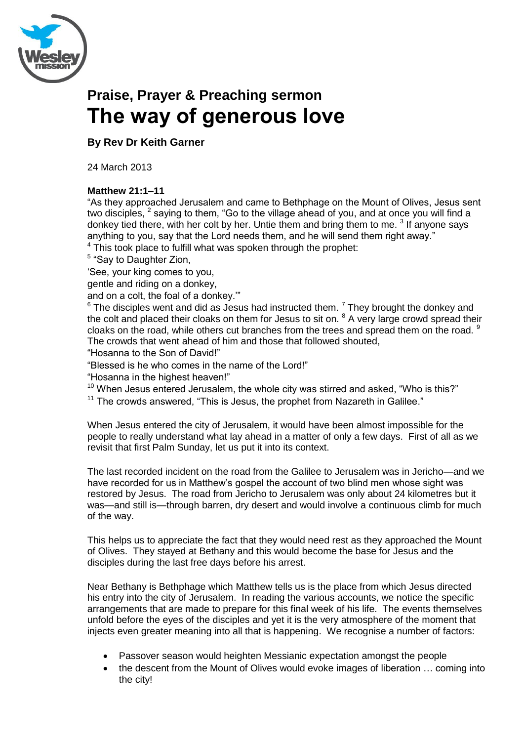

# **Praise, Prayer & Preaching sermon The way of generous love**

## **By Rev Dr Keith Garner**

24 March 2013

### **Matthew 21:1–11**

"As they approached Jerusalem and came to Bethphage on the Mount of Olives, Jesus sent two disciples,  $^2$  saying to them, "Go to the village ahead of you, and at once you will find a donkey tied there, with her colt by her. Untie them and bring them to me.  $3$  If anyone says anything to you, say that the Lord needs them, and he will send them right away."

 $4$  This took place to fulfill what was spoken through the prophet:

<sup>5</sup> "Say to Daughter Zion,

‗See, your king comes to you,

gentle and riding on a donkey,

and on a colt, the foal of a donkey."

 $6$  The disciples went and did as Jesus had instructed them.  $7$  They brought the donkey and the colt and placed their cloaks on them for Jesus to sit on.  $8$  A very large crowd spread their cloaks on the road, while others cut branches from the trees and spread them on the road. <sup>9</sup> The crowds that went ahead of him and those that followed shouted,

"Hosanna to the Son of David!"

"Blessed is he who comes in the name of the Lord!"

"Hosanna in the highest heaven!"

 $10$  When Jesus entered Jerusalem, the whole city was stirred and asked, "Who is this?"

 $11$  The crowds answered, "This is Jesus, the prophet from Nazareth in Galilee."

When Jesus entered the city of Jerusalem, it would have been almost impossible for the people to really understand what lay ahead in a matter of only a few days. First of all as we revisit that first Palm Sunday, let us put it into its context.

The last recorded incident on the road from the Galilee to Jerusalem was in Jericho—and we have recorded for us in Matthew's gospel the account of two blind men whose sight was restored by Jesus. The road from Jericho to Jerusalem was only about 24 kilometres but it was—and still is—through barren, dry desert and would involve a continuous climb for much of the way.

This helps us to appreciate the fact that they would need rest as they approached the Mount of Olives. They stayed at Bethany and this would become the base for Jesus and the disciples during the last free days before his arrest.

Near Bethany is Bethphage which Matthew tells us is the place from which Jesus directed his entry into the city of Jerusalem. In reading the various accounts, we notice the specific arrangements that are made to prepare for this final week of his life. The events themselves unfold before the eyes of the disciples and yet it is the very atmosphere of the moment that injects even greater meaning into all that is happening. We recognise a number of factors:

- Passover season would heighten Messianic expectation amongst the people
- the descent from the Mount of Olives would evoke images of liberation … coming into the city!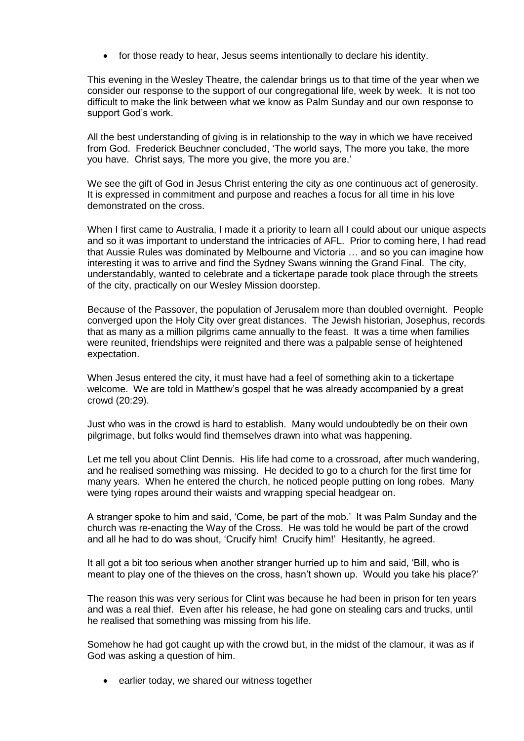for those ready to hear, Jesus seems intentionally to declare his identity.

This evening in the Wesley Theatre, the calendar brings us to that time of the year when we consider our response to the support of our congregational life, week by week. It is not too difficult to make the link between what we know as Palm Sunday and our own response to support God's work.

All the best understanding of giving is in relationship to the way in which we have received from God. Frederick Beuchner concluded, 'The world says, The more you take, the more you have. Christ says, The more you give, the more you are.'

We see the gift of God in Jesus Christ entering the city as one continuous act of generosity. It is expressed in commitment and purpose and reaches a focus for all time in his love demonstrated on the cross.

When I first came to Australia, I made it a priority to learn all I could about our unique aspects and so it was important to understand the intricacies of AFL. Prior to coming here, I had read that Aussie Rules was dominated by Melbourne and Victoria … and so you can imagine how interesting it was to arrive and find the Sydney Swans winning the Grand Final. The city, understandably, wanted to celebrate and a tickertape parade took place through the streets of the city, practically on our Wesley Mission doorstep.

Because of the Passover, the population of Jerusalem more than doubled overnight. People converged upon the Holy City over great distances. The Jewish historian, Josephus, records that as many as a million pilgrims came annually to the feast. It was a time when families were reunited, friendships were reignited and there was a palpable sense of heightened expectation.

When Jesus entered the city, it must have had a feel of something akin to a tickertape welcome. We are told in Matthew's gospel that he was already accompanied by a great crowd (20:29).

Just who was in the crowd is hard to establish. Many would undoubtedly be on their own pilgrimage, but folks would find themselves drawn into what was happening.

Let me tell you about Clint Dennis. His life had come to a crossroad, after much wandering, and he realised something was missing. He decided to go to a church for the first time for many years. When he entered the church, he noticed people putting on long robes. Many were tying ropes around their waists and wrapping special headgear on.

A stranger spoke to him and said, ‗Come, be part of the mob.' It was Palm Sunday and the church was re-enacting the Way of the Cross. He was told he would be part of the crowd and all he had to do was shout, 'Crucify him! Crucify him!' Hesitantly, he agreed.

It all got a bit too serious when another stranger hurried up to him and said, 'Bill, who is meant to play one of the thieves on the cross, hasn't shown up. Would you take his place?'

The reason this was very serious for Clint was because he had been in prison for ten years and was a real thief. Even after his release, he had gone on stealing cars and trucks, until he realised that something was missing from his life.

Somehow he had got caught up with the crowd but, in the midst of the clamour, it was as if God was asking a question of him.

• earlier today, we shared our witness together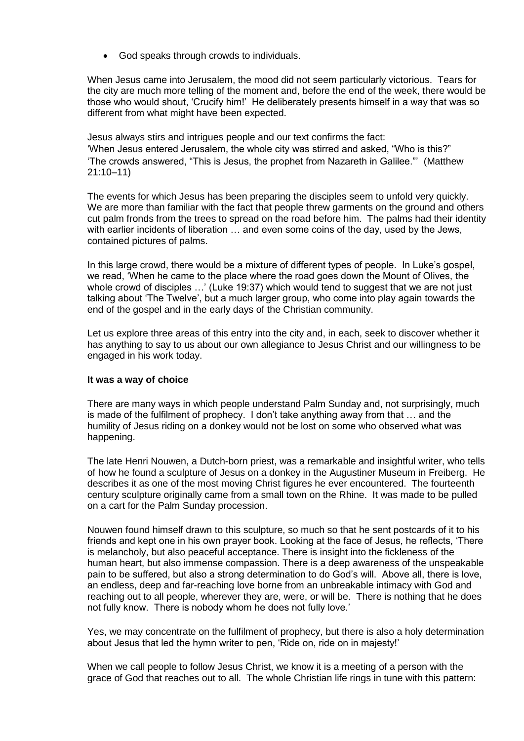God speaks through crowds to individuals.

When Jesus came into Jerusalem, the mood did not seem particularly victorious. Tears for the city are much more telling of the moment and, before the end of the week, there would be those who would shout, ‗Crucify him!' He deliberately presents himself in a way that was so different from what might have been expected.

Jesus always stirs and intrigues people and our text confirms the fact: 'When Jesus entered Jerusalem, the whole city was stirred and asked, "Who is this?" ‗The crowds answered, ―This is Jesus, the prophet from Nazareth in Galilee.‖' (Matthew 21:10–11)

The events for which Jesus has been preparing the disciples seem to unfold very quickly. We are more than familiar with the fact that people threw garments on the ground and others cut palm fronds from the trees to spread on the road before him. The palms had their identity with earlier incidents of liberation … and even some coins of the day, used by the Jews, contained pictures of palms.

In this large crowd, there would be a mixture of different types of people. In Luke's gospel, we read, ‗When he came to the place where the road goes down the Mount of Olives, the whole crowd of disciples ...' (Luke 19:37) which would tend to suggest that we are not just talking about ‗The Twelve', but a much larger group, who come into play again towards the end of the gospel and in the early days of the Christian community.

Let us explore three areas of this entry into the city and, in each, seek to discover whether it has anything to say to us about our own allegiance to Jesus Christ and our willingness to be engaged in his work today.

#### **It was a way of choice**

There are many ways in which people understand Palm Sunday and, not surprisingly, much is made of the fulfilment of prophecy. I don't take anything away from that … and the humility of Jesus riding on a donkey would not be lost on some who observed what was happening.

The late Henri Nouwen, a Dutch-born priest, was a remarkable and insightful writer, who tells of how he found a sculpture of Jesus on a donkey in the Augustiner Museum in Freiberg. He describes it as one of the most moving Christ figures he ever encountered. The fourteenth century sculpture originally came from a small town on the Rhine. It was made to be pulled on a cart for the Palm Sunday procession.

Nouwen found himself drawn to this sculpture, so much so that he sent postcards of it to his friends and kept one in his own prayer book. Looking at the face of Jesus, he reflects, ‗There is melancholy, but also peaceful acceptance. There is insight into the fickleness of the human heart, but also immense compassion. There is a deep awareness of the unspeakable pain to be suffered, but also a strong determination to do God's will. Above all, there is love, an endless, deep and far-reaching love borne from an unbreakable intimacy with God and reaching out to all people, wherever they are, were, or will be. There is nothing that he does not fully know. There is nobody whom he does not fully love.'

Yes, we may concentrate on the fulfilment of prophecy, but there is also a holy determination about Jesus that led the hymn writer to pen, 'Ride on, ride on in majesty!'

When we call people to follow Jesus Christ, we know it is a meeting of a person with the grace of God that reaches out to all. The whole Christian life rings in tune with this pattern: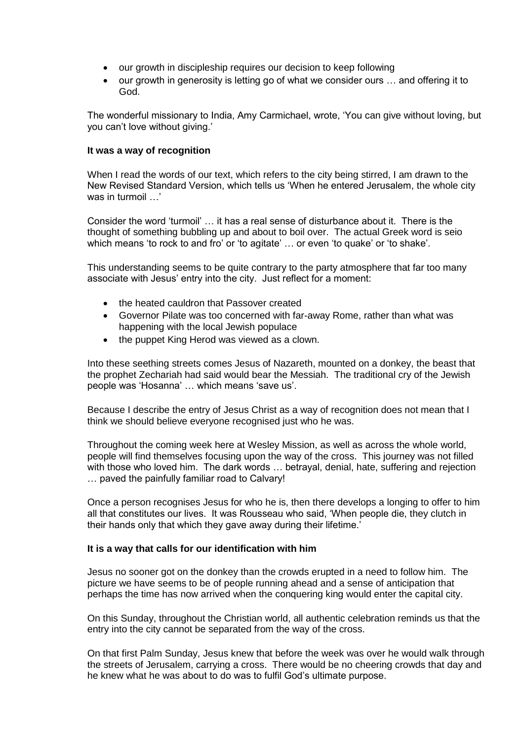- our growth in discipleship requires our decision to keep following
- our growth in generosity is letting go of what we consider ours … and offering it to God.

The wonderful missionary to India, Amy Carmichael, wrote, ‗You can give without loving, but you can't love without giving.'

#### **It was a way of recognition**

When I read the words of our text, which refers to the city being stirred, I am drawn to the New Revised Standard Version, which tells us 'When he entered Jerusalem, the whole city was in turmoil …'

Consider the word ‗turmoil' … it has a real sense of disturbance about it. There is the thought of something bubbling up and about to boil over. The actual Greek word is seio which means 'to rock to and fro' or 'to agitate' ... or even 'to quake' or 'to shake'.

This understanding seems to be quite contrary to the party atmosphere that far too many associate with Jesus' entry into the city. Just reflect for a moment:

- the heated cauldron that Passover created
- Governor Pilate was too concerned with far-away Rome, rather than what was happening with the local Jewish populace
- the puppet King Herod was viewed as a clown.

Into these seething streets comes Jesus of Nazareth, mounted on a donkey, the beast that the prophet Zechariah had said would bear the Messiah. The traditional cry of the Jewish people was 'Hosanna' ... which means 'save us'.

Because I describe the entry of Jesus Christ as a way of recognition does not mean that I think we should believe everyone recognised just who he was.

Throughout the coming week here at Wesley Mission, as well as across the whole world, people will find themselves focusing upon the way of the cross. This journey was not filled with those who loved him. The dark words … betrayal, denial, hate, suffering and rejection … paved the painfully familiar road to Calvary!

Once a person recognises Jesus for who he is, then there develops a longing to offer to him all that constitutes our lives. It was Rousseau who said, 'When people die, they clutch in their hands only that which they gave away during their lifetime.'

#### **It is a way that calls for our identification with him**

Jesus no sooner got on the donkey than the crowds erupted in a need to follow him. The picture we have seems to be of people running ahead and a sense of anticipation that perhaps the time has now arrived when the conquering king would enter the capital city.

On this Sunday, throughout the Christian world, all authentic celebration reminds us that the entry into the city cannot be separated from the way of the cross.

On that first Palm Sunday, Jesus knew that before the week was over he would walk through the streets of Jerusalem, carrying a cross. There would be no cheering crowds that day and he knew what he was about to do was to fulfil God's ultimate purpose.